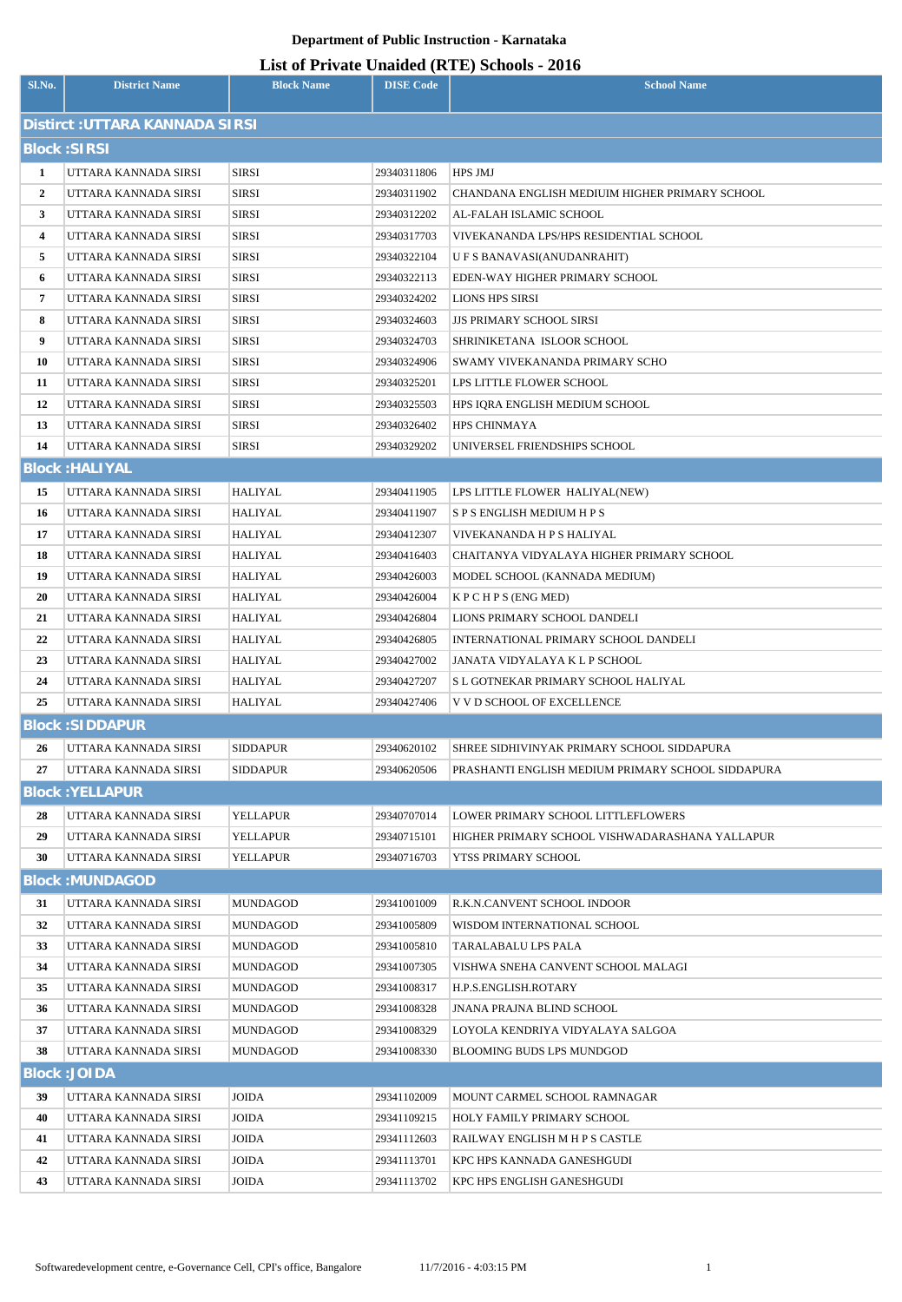## **Department of Public Instruction - Karnataka**

## **List of Private Unaided (RTE) Schools - 2016**

| Sl.No.                          | <b>District Name</b>   | <b>Block Name</b> | <b>DISE Code</b> | $\frac{1}{2}$<br><b>School Name</b>               |
|---------------------------------|------------------------|-------------------|------------------|---------------------------------------------------|
| Distirct : UTTARA KANNADA SIRSI |                        |                   |                  |                                                   |
| <b>Block: SIRSI</b>             |                        |                   |                  |                                                   |
| 1                               | UTTARA KANNADA SIRSI   | <b>SIRSI</b>      | 29340311806      | HPS JMJ                                           |
| $\overline{2}$                  | UTTARA KANNADA SIRSI   | <b>SIRSI</b>      | 29340311902      | CHANDANA ENGLISH MEDIUIM HIGHER PRIMARY SCHOOL    |
| $\mathbf{3}$                    | UTTARA KANNADA SIRSI   | <b>SIRSI</b>      | 29340312202      | AL-FALAH ISLAMIC SCHOOL                           |
| 4                               | UTTARA KANNADA SIRSI   | <b>SIRSI</b>      | 29340317703      | VIVEKANANDA LPS/HPS RESIDENTIAL SCHOOL            |
| 5                               | UTTARA KANNADA SIRSI   | <b>SIRSI</b>      | 29340322104      | U F S BANAVASI(ANUDANRAHIT)                       |
| 6                               | UTTARA KANNADA SIRSI   | <b>SIRSI</b>      | 29340322113      | EDEN-WAY HIGHER PRIMARY SCHOOL                    |
| 7                               | UTTARA KANNADA SIRSI   | <b>SIRSI</b>      | 29340324202      | LIONS HPS SIRSI                                   |
| 8                               | UTTARA KANNADA SIRSI   | <b>SIRSI</b>      | 29340324603      | <b>JJS PRIMARY SCHOOL SIRSI</b>                   |
| 9                               | UTTARA KANNADA SIRSI   | <b>SIRSI</b>      | 29340324703      | SHRINIKETANA ISLOOR SCHOOL                        |
| 10                              | UTTARA KANNADA SIRSI   | <b>SIRSI</b>      | 29340324906      | SWAMY VIVEKANANDA PRIMARY SCHO                    |
| 11                              | UTTARA KANNADA SIRSI   | <b>SIRSI</b>      | 29340325201      | LPS LITTLE FLOWER SCHOOL                          |
| 12                              | UTTARA KANNADA SIRSI   | <b>SIRSI</b>      | 29340325503      | HPS IQRA ENGLISH MEDIUM SCHOOL                    |
| 13                              | UTTARA KANNADA SIRSI   | <b>SIRSI</b>      | 29340326402      | <b>HPS CHINMAYA</b>                               |
| 14                              | UTTARA KANNADA SIRSI   | <b>SIRSI</b>      | 29340329202      | UNIVERSEL FRIENDSHIPS SCHOOL                      |
|                                 | <b>Block: HALIYAL</b>  |                   |                  |                                                   |
| 15                              | UTTARA KANNADA SIRSI   | HALIYAL           | 29340411905      | LPS LITTLE FLOWER HALIYAL(NEW)                    |
| 16                              | UTTARA KANNADA SIRSI   | HALIYAL           | 29340411907      | S P S ENGLISH MEDIUM H P S                        |
| 17                              | UTTARA KANNADA SIRSI   | HALIYAL           | 29340412307      | VIVEKANANDA H P S HALIYAL                         |
| 18                              | UTTARA KANNADA SIRSI   | HALIYAL           | 29340416403      | CHAITANYA VIDYALAYA HIGHER PRIMARY SCHOOL         |
| 19                              | UTTARA KANNADA SIRSI   | HALIYAL           | 29340426003      | MODEL SCHOOL (KANNADA MEDIUM)                     |
| 20                              | UTTARA KANNADA SIRSI   | HALIYAL           | 29340426004      | K P C H P S (ENG MED)                             |
| 21                              | UTTARA KANNADA SIRSI   | HALIYAL           | 29340426804      | LIONS PRIMARY SCHOOL DANDELI                      |
| 22                              | UTTARA KANNADA SIRSI   | HALIYAL           | 29340426805      | INTERNATIONAL PRIMARY SCHOOL DANDELI              |
| 23                              | UTTARA KANNADA SIRSI   | HALIYAL           | 29340427002      | JANATA VIDYALAYA K L P SCHOOL                     |
| 24                              | UTTARA KANNADA SIRSI   | HALIYAL           | 29340427207      | S L GOTNEKAR PRIMARY SCHOOL HALIYAL               |
| 25                              | UTTARA KANNADA SIRSI   | HALIYAL           | 29340427406      | V V D SCHOOL OF EXCELLENCE                        |
|                                 | <b>Block: SIDDAPUR</b> |                   |                  |                                                   |
| 26                              | UTTARA KANNADA SIRSI   | <b>SIDDAPUR</b>   | 29340620102      | SHREE SIDHIVINYAK PRIMARY SCHOOL SIDDAPURA        |
| 27                              | UTTARA KANNADA SIRSI   | <b>SIDDAPUR</b>   | 29340620506      | PRASHANTI ENGLISH MEDIUM PRIMARY SCHOOL SIDDAPURA |
|                                 | <b>Block: YELLAPUR</b> |                   |                  |                                                   |
| 28                              | UTTARA KANNADA SIRSI   | YELLAPUR          | 29340707014      | LOWER PRIMARY SCHOOL LITTLEFLOWERS                |
| 29                              | UTTARA KANNADA SIRSI   | YELLAPUR          | 29340715101      | HIGHER PRIMARY SCHOOL VISHWADARASHANA YALLAPUR    |
| 30                              | UTTARA KANNADA SIRSI   | YELLAPUR          | 29340716703      | YTSS PRIMARY SCHOOL                               |
| <b>Block: MUNDAGOD</b>          |                        |                   |                  |                                                   |
| 31                              | UTTARA KANNADA SIRSI   | <b>MUNDAGOD</b>   | 29341001009      | R.K.N.CANVENT SCHOOL INDOOR                       |
| 32                              | UTTARA KANNADA SIRSI   | <b>MUNDAGOD</b>   | 29341005809      | WISDOM INTERNATIONAL SCHOOL                       |
| 33                              | UTTARA KANNADA SIRSI   | <b>MUNDAGOD</b>   | 29341005810      | TARALABALU LPS PALA                               |
| 34                              | UTTARA KANNADA SIRSI   | <b>MUNDAGOD</b>   | 29341007305      | VISHWA SNEHA CANVENT SCHOOL MALAGI                |
| 35                              | UTTARA KANNADA SIRSI   | <b>MUNDAGOD</b>   | 29341008317      | H.P.S.ENGLISH.ROTARY                              |
| 36                              | UTTARA KANNADA SIRSI   | <b>MUNDAGOD</b>   | 29341008328      | <b>JNANA PRAJNA BLIND SCHOOL</b>                  |
| 37                              | UTTARA KANNADA SIRSI   | <b>MUNDAGOD</b>   | 29341008329      | LOYOLA KENDRIYA VIDYALAYA SALGOA                  |
| 38                              | UTTARA KANNADA SIRSI   | <b>MUNDAGOD</b>   | 29341008330      | BLOOMING BUDS LPS MUNDGOD                         |
|                                 | <b>Block: JOIDA</b>    |                   |                  |                                                   |
| 39                              | UTTARA KANNADA SIRSI   | <b>JOIDA</b>      | 29341102009      | MOUNT CARMEL SCHOOL RAMNAGAR                      |
| 40                              | UTTARA KANNADA SIRSI   | <b>JOIDA</b>      | 29341109215      | HOLY FAMILY PRIMARY SCHOOL                        |
| 41                              | UTTARA KANNADA SIRSI   | JOIDA             | 29341112603      | RAILWAY ENGLISH M H P S CASTLE                    |
| 42                              | UTTARA KANNADA SIRSI   | <b>JOIDA</b>      | 29341113701      | KPC HPS KANNADA GANESHGUDI                        |
| 43                              | UTTARA KANNADA SIRSI   | JOIDA             | 29341113702      | KPC HPS ENGLISH GANESHGUDI                        |